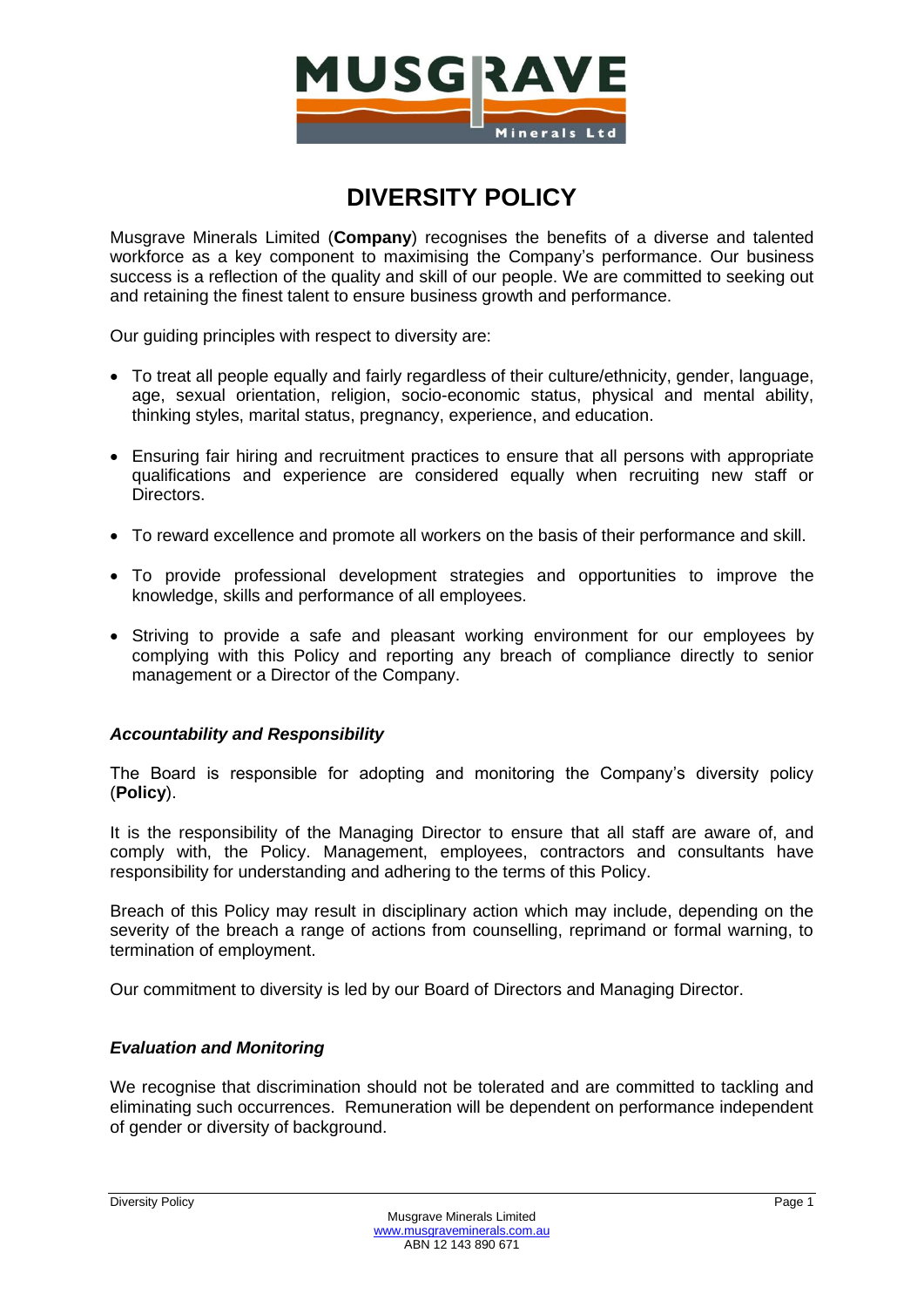

## **DIVERSITY POLICY**

Musgrave Minerals Limited (**Company**) recognises the benefits of a diverse and talented workforce as a key component to maximising the Company's performance. Our business success is a reflection of the quality and skill of our people. We are committed to seeking out and retaining the finest talent to ensure business growth and performance.

Our guiding principles with respect to diversity are:

- To treat all people equally and fairly regardless of their culture/ethnicity, gender, language, age, sexual orientation, religion, socio-economic status, physical and mental ability, thinking styles, marital status, pregnancy, experience, and education.
- Ensuring fair hiring and recruitment practices to ensure that all persons with appropriate qualifications and experience are considered equally when recruiting new staff or Directors.
- To reward excellence and promote all workers on the basis of their performance and skill.
- To provide professional development strategies and opportunities to improve the knowledge, skills and performance of all employees.
- Striving to provide a safe and pleasant working environment for our employees by complying with this Policy and reporting any breach of compliance directly to senior management or a Director of the Company.

## *Accountability and Responsibility*

The Board is responsible for adopting and monitoring the Company's diversity policy (**Policy**).

It is the responsibility of the Managing Director to ensure that all staff are aware of, and comply with, the Policy. Management, employees, contractors and consultants have responsibility for understanding and adhering to the terms of this Policy.

Breach of this Policy may result in disciplinary action which may include, depending on the severity of the breach a range of actions from counselling, reprimand or formal warning, to termination of employment.

Our commitment to diversity is led by our Board of Directors and Managing Director.

## *Evaluation and Monitoring*

We recognise that discrimination should not be tolerated and are committed to tackling and eliminating such occurrences. Remuneration will be dependent on performance independent of gender or diversity of background.